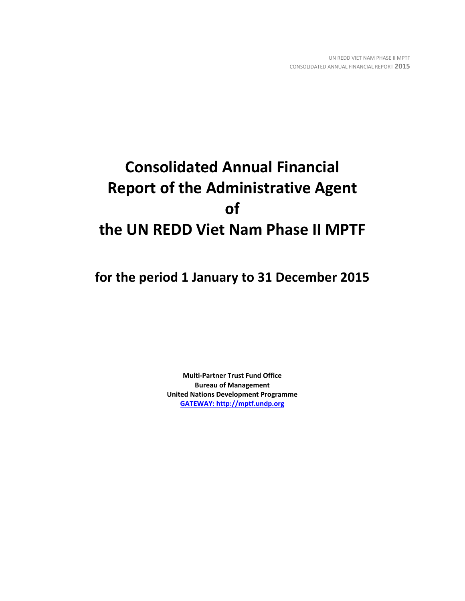# **Consolidated Annual Financial Report of the Administrative Agent of the UN REDD Viet Nam Phase II MPTF**

**for the period 1 January to 31 December 2015**

**Multi-Partner Trust Fund Office Bureau of Management United Nations Development Programme [GATEWAY: http://mptf.undp.org](http://mptf.undp.org/)**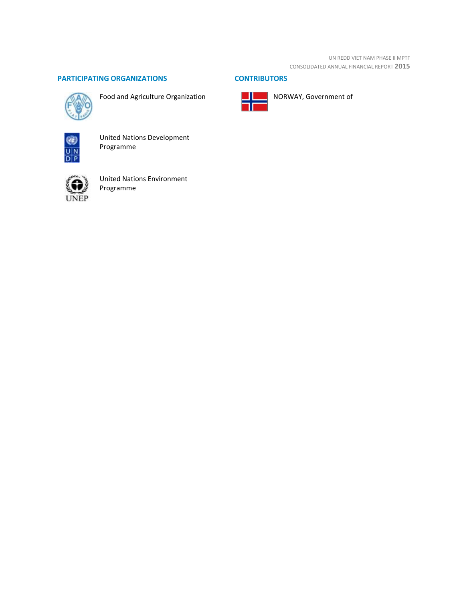UN REDD VIET NAM PHASE II MPTF CONSOLIDATED ANNUAL FINANCIAL REPORT **2015**

# **PARTICIPATING ORGANIZATIONS CONTRIBUTORS**



Food and Agriculture Organization



NORWAY, Government of



United Nations Development Programme



United Nations Environment Programme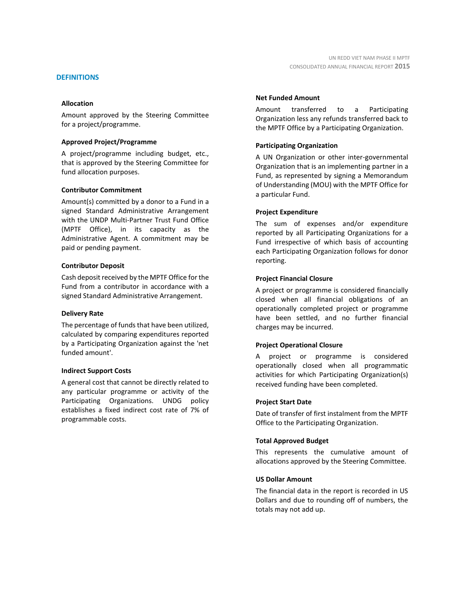### **DEFINITIONS**

#### **Allocation**

Amount approved by the Steering Committee for a project/programme.

#### **Approved Project/Programme**

A project/programme including budget, etc., that is approved by the Steering Committee for fund allocation purposes.

#### **Contributor Commitment**

Amount(s) committed by a donor to a Fund in a signed Standard Administrative Arrangement with the UNDP Multi-Partner Trust Fund Office (MPTF Office), in its capacity as the Administrative Agent. A commitment may be paid or pending payment.

#### **Contributor Deposit**

Cash deposit received by the MPTF Office for the Fund from a contributor in accordance with a signed Standard Administrative Arrangement.

#### **Delivery Rate**

The percentage of funds that have been utilized, calculated by comparing expenditures reported by a Participating Organization against the 'net funded amount'.

#### **Indirect Support Costs**

A general cost that cannot be directly related to any particular programme or activity of the Participating Organizations. UNDG policy establishes a fixed indirect cost rate of 7% of programmable costs.

### **Net Funded Amount**

Amount transferred to a Participating Organization less any refunds transferred back to the MPTF Office by a Participating Organization.

# **Participating Organization**

A UN Organization or other inter-governmental Organization that is an implementing partner in a Fund, as represented by signing a Memorandum of Understanding (MOU) with the MPTF Office for a particular Fund.

# **Project Expenditure**

The sum of expenses and/or expenditure reported by all Participating Organizations for a Fund irrespective of which basis of accounting each Participating Organization follows for donor reporting.

# **Project Financial Closure**

A project or programme is considered financially closed when all financial obligations of an operationally completed project or programme have been settled, and no further financial charges may be incurred.

# **Project Operational Closure**

A project or programme is considered operationally closed when all programmatic activities for which Participating Organization(s) received funding have been completed.

#### **Project Start Date**

Date of transfer of first instalment from the MPTF Office to the Participating Organization.

#### **Total Approved Budget**

This represents the cumulative amount of allocations approved by the Steering Committee.

### **US Dollar Amount**

The financial data in the report is recorded in US Dollars and due to rounding off of numbers, the totals may not add up.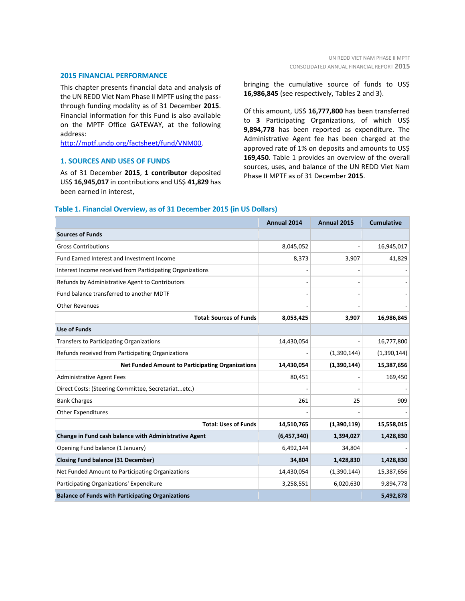#### **2015 FINANCIAL PERFORMANCE**

This chapter presents financial data and analysis of the UN REDD Viet Nam Phase II MPTF using the passthrough funding modality as of 31 December **2015**. Financial information for this Fund is also available on the MPTF Office GATEWAY, at the following address:

[http://mptf.undp.org/factsheet/fund/VNM00.](http://mptf.undp.org/factsheet/fund/VNM00) 

# **1. SOURCES AND USES OF FUNDS**

As of 31 December **2015**, **1 contributor** deposited US\$ **16,945,017** in contributions and US\$ **41,829** has been earned in interest,

bringing the cumulative source of funds to US\$ **16,986,845** (see respectively, Tables 2 and 3).

Of this amount, US\$ **16,777,800** has been transferred to **3** Participating Organizations, of which US\$ **9,894,778** has been reported as expenditure. The Administrative Agent fee has been charged at the approved rate of 1% on deposits and amounts to US\$ **169,450**. Table 1 provides an overview of the overall sources, uses, and balance of the UN REDD Viet Nam Phase II MPTF as of 31 December **2015**.

#### **Table 1. Financial Overview, as of 31 December 2015 (in US Dollars)**

|                                                           | Annual 2014 | Annual 2015 | <b>Cumulative</b> |
|-----------------------------------------------------------|-------------|-------------|-------------------|
| <b>Sources of Funds</b>                                   |             |             |                   |
| <b>Gross Contributions</b>                                | 8,045,052   |             | 16,945,017        |
| Fund Earned Interest and Investment Income                | 8,373       | 3,907       | 41,829            |
| Interest Income received from Participating Organizations |             |             |                   |
| Refunds by Administrative Agent to Contributors           |             |             |                   |
| Fund balance transferred to another MDTF                  |             |             |                   |
| <b>Other Revenues</b>                                     |             |             |                   |
| <b>Total: Sources of Funds</b>                            | 8,053,425   | 3,907       | 16,986,845        |
| <b>Use of Funds</b>                                       |             |             |                   |
| <b>Transfers to Participating Organizations</b>           | 14,430,054  |             | 16,777,800        |
| Refunds received from Participating Organizations         |             | (1,390,144) | (1,390,144)       |
| <b>Net Funded Amount to Participating Organizations</b>   | 14,430,054  | (1,390,144) | 15,387,656        |
| <b>Administrative Agent Fees</b>                          | 80,451      |             | 169,450           |
| Direct Costs: (Steering Committee, Secretariatetc.)       |             |             |                   |
| <b>Bank Charges</b>                                       | 261         | 25          | 909               |
| <b>Other Expenditures</b>                                 |             |             |                   |
| <b>Total: Uses of Funds</b>                               | 14,510,765  | (1,390,119) | 15,558,015        |
| Change in Fund cash balance with Administrative Agent     | (6,457,340) | 1,394,027   | 1,428,830         |
| Opening Fund balance (1 January)                          | 6,492,144   | 34,804      |                   |
| <b>Closing Fund balance (31 December)</b>                 | 34,804      | 1,428,830   | 1,428,830         |
| Net Funded Amount to Participating Organizations          | 14,430,054  | (1,390,144) | 15,387,656        |
| Participating Organizations' Expenditure                  | 3,258,551   | 6,020,630   | 9,894,778         |
| <b>Balance of Funds with Participating Organizations</b>  |             |             | 5,492,878         |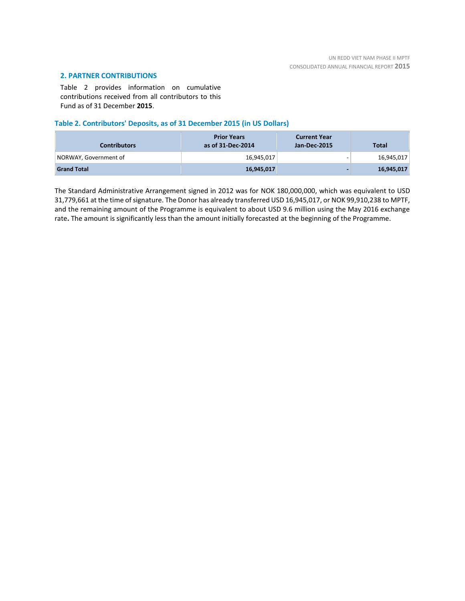# **2. PARTNER CONTRIBUTIONS**

Table 2 provides information on cumulative contributions received from all contributors to this Fund as of 31 December **2015**.

### **Table 2. Contributors' Deposits, as of 31 December 2015 (in US Dollars)**

| <b>Contributors</b>   | <b>Prior Years</b><br>as of 31-Dec-2014 | <b>Current Year</b><br>Jan-Dec-2015 | <b>Total</b> |
|-----------------------|-----------------------------------------|-------------------------------------|--------------|
| NORWAY, Government of | 16,945,017                              | -                                   | 16,945,017   |
| <b>Grand Total</b>    | 16,945,017                              |                                     | 16,945,017   |

The Standard Administrative Arrangement signed in 2012 was for NOK 180,000,000, which was equivalent to USD 31,779,661 at the time of signature. The Donor has already transferred USD 16,945,017, or NOK 99,910,238 to MPTF, and the remaining amount of the Programme is equivalent to about USD 9.6 million using the May 2016 exchange rate**.** The amount is significantly less than the amount initially forecasted at the beginning of the Programme.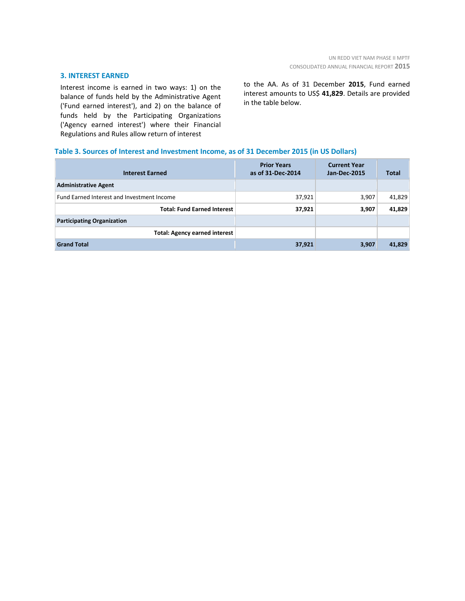#### **3. INTEREST EARNED**

Interest income is earned in two ways: 1) on the balance of funds held by the Administrative Agent ('Fund earned interest'), and 2) on the balance of funds held by the Participating Organizations ('Agency earned interest') where their Financial Regulations and Rules allow return of interest

to the AA. As of 31 December **2015**, Fund earned interest amounts to US\$ **41,829**. Details are provided in the table below.

# **Table 3. Sources of Interest and Investment Income, as of 31 December 2015 (in US Dollars)**

| <b>Interest Earned</b>                     | <b>Prior Years</b><br>as of 31-Dec-2014 | <b>Current Year</b><br><b>Jan-Dec-2015</b> | <b>Total</b> |
|--------------------------------------------|-----------------------------------------|--------------------------------------------|--------------|
| <b>Administrative Agent</b>                |                                         |                                            |              |
| Fund Earned Interest and Investment Income | 37,921                                  | 3,907                                      | 41,829       |
| <b>Total: Fund Earned Interest</b>         | 37,921                                  | 3,907                                      | 41,829       |
| <b>Participating Organization</b>          |                                         |                                            |              |
| <b>Total: Agency earned interest</b>       |                                         |                                            |              |
| <b>Grand Total</b>                         | 37,921                                  | 3,907                                      | 41,829       |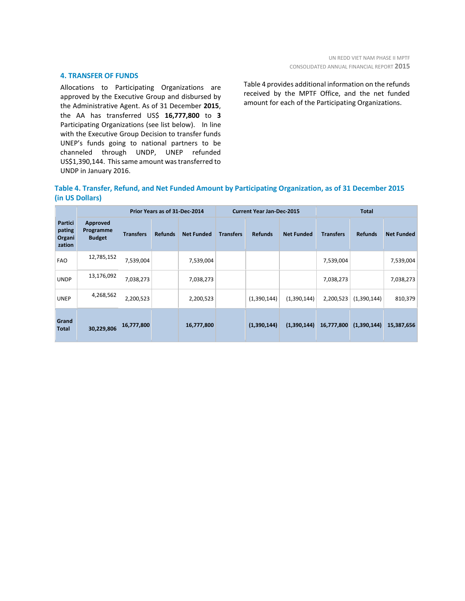#### **4. TRANSFER OF FUNDS**

Allocations to Participating Organizations are approved by the Executive Group and disbursed by the Administrative Agent. As of 31 December **2015**, the AA has transferred US\$ **16,777,800** to **3** Participating Organizations (see list below). In line with the Executive Group Decision to transfer funds UNEP's funds going to national partners to be channeled through UNDP, UNEP refunded US\$1,390,144. This same amount was transferred to UNDP in January 2016.

Table 4 provides additional information on the refunds received by the MPTF Office, and the net funded amount for each of the Participating Organizations.

# **Table 4. Transfer, Refund, and Net Funded Amount by Participating Organization, as of 31 December 2015 (in US Dollars)**

|                                       | Prior Years as of 31-Dec-2014          |                  |                | <b>Current Year Jan-Dec-2015</b> |                  |                | <b>Total</b>      |                  |                |                   |
|---------------------------------------|----------------------------------------|------------------|----------------|----------------------------------|------------------|----------------|-------------------|------------------|----------------|-------------------|
| Partici<br>pating<br>Organi<br>zation | Approved<br>Programme<br><b>Budget</b> | <b>Transfers</b> | <b>Refunds</b> | <b>Net Funded</b>                | <b>Transfers</b> | <b>Refunds</b> | <b>Net Funded</b> | <b>Transfers</b> | <b>Refunds</b> | <b>Net Funded</b> |
| <b>FAO</b>                            | 12,785,152                             | 7,539,004        |                | 7,539,004                        |                  |                |                   | 7,539,004        |                | 7,539,004         |
| <b>UNDP</b>                           | 13,176,092                             | 7,038,273        |                | 7,038,273                        |                  |                |                   | 7,038,273        |                | 7,038,273         |
| <b>UNEP</b>                           | 4,268,562                              | 2,200,523        |                | 2,200,523                        |                  | (1,390,144)    | (1,390,144)       | 2,200,523        | (1,390,144)    | 810,379           |
| Grand<br><b>Total</b>                 | 30,229,806                             | 16,777,800       |                | 16,777,800                       |                  | (1,390,144)    | (1,390,144)       | 16,777,800       | (1,390,144)    | 15,387,656        |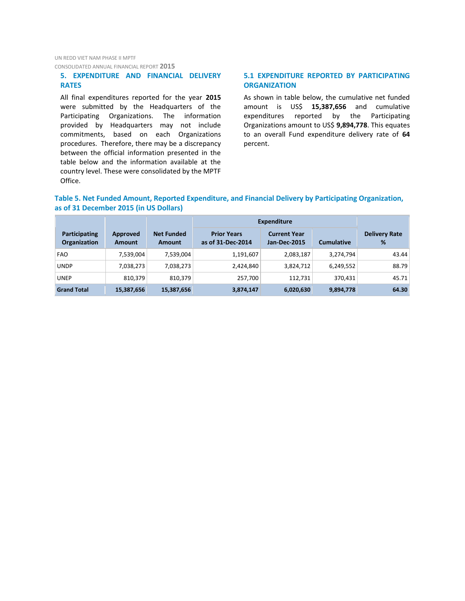UN REDD VIET NAM PHASE II MPTF CONSOLIDATED ANNUAL FINANCIAL REPORT **2015**

# **5. EXPENDITURE AND FINANCIAL DELIVERY RATES**

All final expenditures reported for the year **2015** were submitted by the Headquarters of the Participating Organizations. The information provided by Headquarters may not include commitments, based on each Organizations procedures. Therefore, there may be a discrepancy between the official information presented in the table below and the information available at the country level. These were consolidated by the MPTF Office.

# **5.1 EXPENDITURE REPORTED BY PARTICIPATING ORGANIZATION**

As shown in table below, the cumulative net funded amount is US\$ **15,387,656** and cumulative expenditures reported by the Participating Organizations amount to US\$ **9,894,778**. This equates to an overall Fund expenditure delivery rate of **64** percent.

# **Table 5. Net Funded Amount, Reported Expenditure, and Financial Delivery by Participating Organization, as of 31 December 2015 (in US Dollars)**

|                                      |                    |                             | <b>Expenditure</b>                      |                                            |                   |                           |
|--------------------------------------|--------------------|-----------------------------|-----------------------------------------|--------------------------------------------|-------------------|---------------------------|
| Participating<br><b>Organization</b> | Approved<br>Amount | <b>Net Funded</b><br>Amount | <b>Prior Years</b><br>as of 31-Dec-2014 | <b>Current Year</b><br><b>Jan-Dec-2015</b> | <b>Cumulative</b> | <b>Delivery Rate</b><br>% |
| <b>FAO</b>                           | 7,539,004          | 7,539,004                   | 1,191,607                               | 2,083,187                                  | 3,274,794         | 43.44                     |
| <b>UNDP</b>                          | 7,038,273          | 7,038,273                   | 2,424,840                               | 3,824,712                                  | 6,249,552         | 88.79                     |
| UNEP                                 | 810,379            | 810,379                     | 257,700                                 | 112,731                                    | 370.431           | 45.71                     |
| <b>Grand Total</b>                   | 15,387,656         | 15,387,656                  | 3,874,147                               | 6,020,630                                  | 9,894,778         | 64.30                     |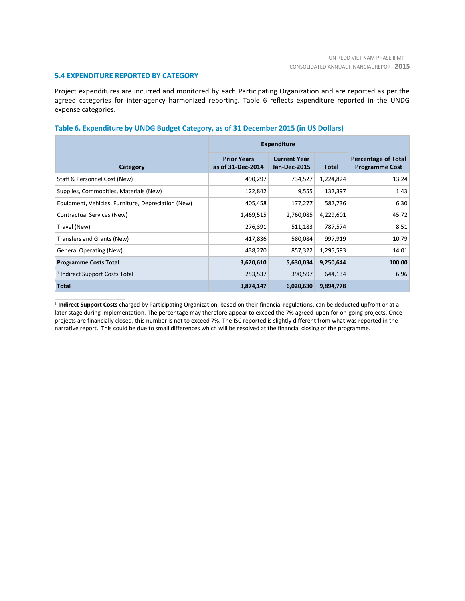#### **5.4 EXPENDITURE REPORTED BY CATEGORY**

\_\_\_\_\_\_\_\_\_\_\_\_\_\_\_\_\_\_\_\_\_\_

Project expenditures are incurred and monitored by each Participating Organization and are reported as per the agreed categories for inter-agency harmonized reporting. Table 6 reflects expenditure reported in the UNDG expense categories.

#### **Table 6. Expenditure by UNDG Budget Category, as of 31 December 2015 (in US Dollars)**

|                                                    | <b>Expenditure</b>                      |                                            |           |                                                     |
|----------------------------------------------------|-----------------------------------------|--------------------------------------------|-----------|-----------------------------------------------------|
| Category                                           | <b>Prior Years</b><br>as of 31-Dec-2014 | <b>Current Year</b><br><b>Jan-Dec-2015</b> | Total     | <b>Percentage of Total</b><br><b>Programme Cost</b> |
| Staff & Personnel Cost (New)                       | 490,297                                 | 734,527                                    | 1,224,824 | 13.24                                               |
| Supplies, Commodities, Materials (New)             | 122,842                                 | 9,555                                      | 132,397   | 1.43                                                |
| Equipment, Vehicles, Furniture, Depreciation (New) | 405,458                                 | 177,277                                    | 582,736   | 6.30                                                |
| Contractual Services (New)                         | 1,469,515                               | 2,760,085                                  | 4,229,601 | 45.72                                               |
| Travel (New)                                       | 276,391                                 | 511,183                                    | 787,574   | 8.51                                                |
| Transfers and Grants (New)                         | 417,836                                 | 580,084                                    | 997,919   | 10.79                                               |
| <b>General Operating (New)</b>                     | 438,270                                 | 857,322                                    | 1,295,593 | 14.01                                               |
| <b>Programme Costs Total</b>                       | 3,620,610                               | 5,630,034                                  | 9,250,644 | 100.00                                              |
| <sup>1</sup> Indirect Support Costs Total          | 253,537                                 | 390,597                                    | 644,134   | 6.96                                                |
| <b>Total</b>                                       | 3,874,147                               | 6,020,630                                  | 9,894,778 |                                                     |

**1 Indirect Support Costs** charged by Participating Organization, based on their financial regulations, can be deducted upfront or at a later stage during implementation. The percentage may therefore appear to exceed the 7% agreed-upon for on-going projects. Once projects are financially closed, this number is not to exceed 7%. The ISC reported is slightly different from what was reported in the narrative report. This could be due to small differences which will be resolved at the financial closing of the programme.